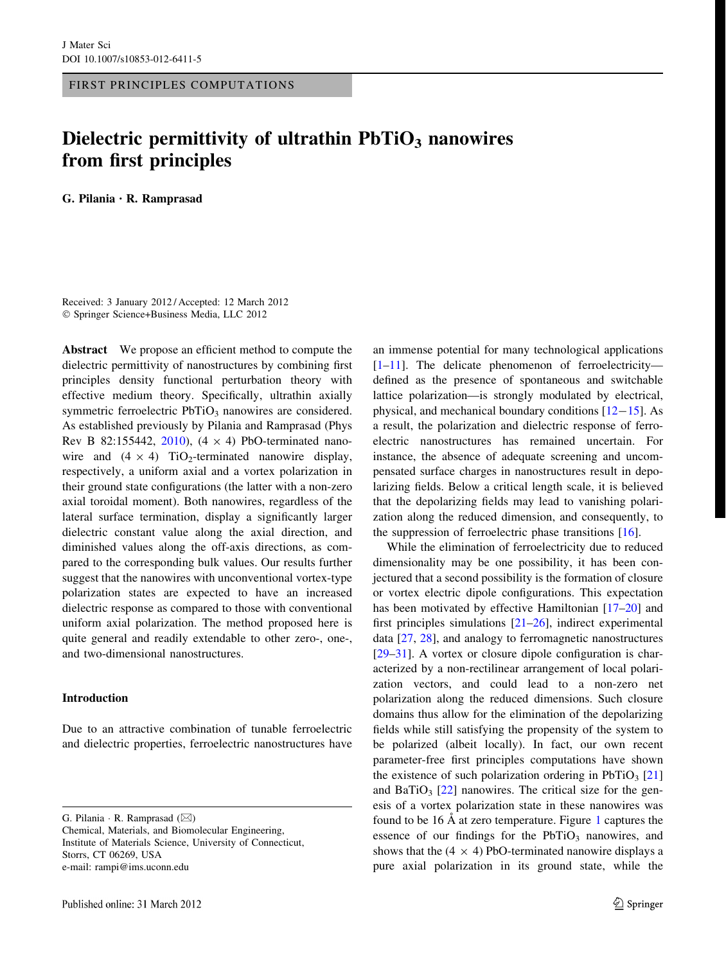FIRST PRINCIPLES COMPUTATIONS

# Dielectric permittivity of ultrathin  $PbTiO<sub>3</sub>$  nanowires from first principles

G. Pilania • R. Ramprasad

Received: 3 January 2012 / Accepted: 12 March 2012 - Springer Science+Business Media, LLC 2012

Abstract We propose an efficient method to compute the dielectric permittivity of nanostructures by combining first principles density functional perturbation theory with effective medium theory. Specifically, ultrathin axially symmetric ferroelectric  $PbTiO<sub>3</sub>$  nanowires are considered. As established previously by Pilania and Ramprasad (Phys Rev B 82:155442, [2010](#page-6-0)),  $(4 \times 4)$  PbO-terminated nanowire and  $(4 \times 4)$  TiO<sub>2</sub>-terminated nanowire display, respectively, a uniform axial and a vortex polarization in their ground state configurations (the latter with a non-zero axial toroidal moment). Both nanowires, regardless of the lateral surface termination, display a significantly larger dielectric constant value along the axial direction, and diminished values along the off-axis directions, as compared to the corresponding bulk values. Our results further suggest that the nanowires with unconventional vortex-type polarization states are expected to have an increased dielectric response as compared to those with conventional uniform axial polarization. The method proposed here is quite general and readily extendable to other zero-, one-, and two-dimensional nanostructures.

## Introduction

Due to an attractive combination of tunable ferroelectric and dielectric properties, ferroelectric nanostructures have

G. Pilania · R. Ramprasad ( $\boxtimes$ )

Chemical, Materials, and Biomolecular Engineering, Institute of Materials Science, University of Connecticut, Storrs, CT 06269, USA e-mail: rampi@ims.uconn.edu

an immense potential for many technological applications [\[1](#page-5-0)[–11](#page-6-0)]. The delicate phenomenon of ferroelectricity defined as the presence of spontaneous and switchable lattice polarization—is strongly modulated by electrical, physical, and mechanical boundary conditions  $[12-15]$  $[12-15]$  $[12-15]$ . As a result, the polarization and dielectric response of ferroelectric nanostructures has remained uncertain. For instance, the absence of adequate screening and uncompensated surface charges in nanostructures result in depolarizing fields. Below a critical length scale, it is believed that the depolarizing fields may lead to vanishing polarization along the reduced dimension, and consequently, to the suppression of ferroelectric phase transitions  $[16]$  $[16]$ .

While the elimination of ferroelectricity due to reduced dimensionality may be one possibility, it has been conjectured that a second possibility is the formation of closure or vortex electric dipole configurations. This expectation has been motivated by effective Hamiltonian [\[17–20\]](#page-6-0) and first principles simulations  $[21–26]$  $[21–26]$ , indirect experimental data [\[27](#page-6-0), [28\]](#page-6-0), and analogy to ferromagnetic nanostructures [\[29–31](#page-6-0)]. A vortex or closure dipole configuration is characterized by a non-rectilinear arrangement of local polarization vectors, and could lead to a non-zero net polarization along the reduced dimensions. Such closure domains thus allow for the elimination of the depolarizing fields while still satisfying the propensity of the system to be polarized (albeit locally). In fact, our own recent parameter-free first principles computations have shown the existence of such polarization ordering in PbTiO<sub>3</sub> [[21\]](#page-6-0) and BaTiO<sub>3</sub>  $[22]$  $[22]$  nanowires. The critical size for the genesis of a vortex polarization state in these nanowires was found to be  $16 \text{ Å}$  $16 \text{ Å}$  at zero temperature. Figure 1 captures the essence of our findings for the  $PbTiO<sub>3</sub>$  nanowires, and shows that the  $(4 \times 4)$  PbO-terminated nanowire displays a pure axial polarization in its ground state, while the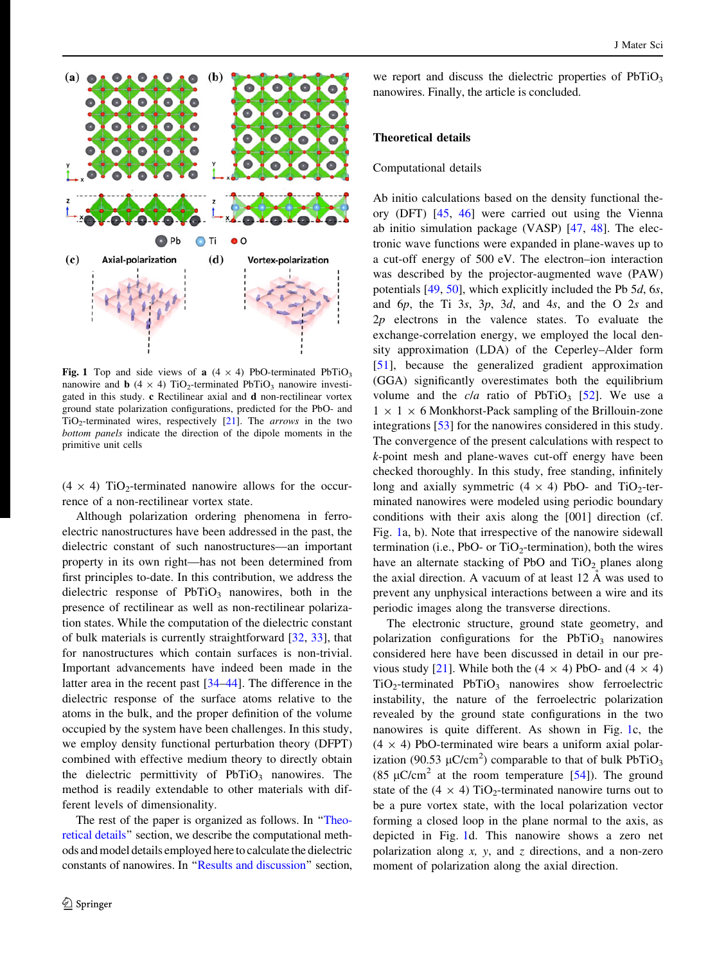<span id="page-1-0"></span>

Fig. 1 Top and side views of a  $(4 \times 4)$  PbO-terminated PbTiO<sub>3</sub> nanowire and **b** (4  $\times$  4) TiO<sub>2</sub>-terminated PbTiO<sub>3</sub> nanowire investigated in this study. c Rectilinear axial and d non-rectilinear vortex ground state polarization configurations, predicted for the PbO- and  $TiO<sub>2</sub>$ -terminated wires, respectively [[21](#page-6-0)]. The *arrows* in the two bottom panels indicate the direction of the dipole moments in the primitive unit cells

 $(4 \times 4)$  TiO<sub>2</sub>-terminated nanowire allows for the occurrence of a non-rectilinear vortex state.

Although polarization ordering phenomena in ferroelectric nanostructures have been addressed in the past, the dielectric constant of such nanostructures—an important property in its own right—has not been determined from first principles to-date. In this contribution, we address the dielectric response of  $PbTiO<sub>3</sub>$  nanowires, both in the presence of rectilinear as well as non-rectilinear polarization states. While the computation of the dielectric constant of bulk materials is currently straightforward [[32,](#page-6-0) [33](#page-6-0)], that for nanostructures which contain surfaces is non-trivial. Important advancements have indeed been made in the latter area in the recent past [\[34–44](#page-6-0)]. The difference in the dielectric response of the surface atoms relative to the atoms in the bulk, and the proper definition of the volume occupied by the system have been challenges. In this study, we employ density functional perturbation theory (DFPT) combined with effective medium theory to directly obtain the dielectric permittivity of  $PbTiO<sub>3</sub>$  nanowires. The method is readily extendable to other materials with different levels of dimensionality.

The rest of the paper is organized as follows. In "Theoretical details'' section, we describe the computational methods and model details employed here to calculate the dielectric constants of nanowires. In '['Results and discussion'](#page-3-0)' section,

we report and discuss the dielectric properties of  $PbTiO<sub>3</sub>$ nanowires. Finally, the article is concluded.

#### Theoretical details

#### Computational details

Ab initio calculations based on the density functional theory (DFT) [[45,](#page-6-0) [46](#page-6-0)] were carried out using the Vienna ab initio simulation package (VASP) [\[47](#page-6-0), [48\]](#page-6-0). The electronic wave functions were expanded in plane-waves up to a cut-off energy of 500 eV. The electron–ion interaction was described by the projector-augmented wave (PAW) potentials  $[49, 50]$  $[49, 50]$  $[49, 50]$  $[49, 50]$ , which explicitly included the Pb 5d, 6s, and 6p, the Ti 3s, 3p, 3d, and 4s, and the O 2s and  $2p$  electrons in the valence states. To evaluate the exchange-correlation energy, we employed the local density approximation (LDA) of the Ceperley–Alder form [\[51](#page-6-0)], because the generalized gradient approximation (GGA) significantly overestimates both the equilibrium volume and the *cla* ratio of PbTiO<sub>3</sub> [\[52](#page-6-0)]. We use a  $1 \times 1 \times 6$  Monkhorst-Pack sampling of the Brillouin-zone integrations [\[53](#page-6-0)] for the nanowires considered in this study. The convergence of the present calculations with respect to k-point mesh and plane-waves cut-off energy have been checked thoroughly. In this study, free standing, infinitely long and axially symmetric  $(4 \times 4)$  PbO- and TiO<sub>2</sub>-terminated nanowires were modeled using periodic boundary conditions with their axis along the [001] direction (cf. Fig. 1a, b). Note that irrespective of the nanowire sidewall termination (i.e., PbO- or  $TiO<sub>2</sub>$ -termination), both the wires have an alternate stacking of PbO and  $TiO<sub>2</sub>$  planes along the axial direction. A vacuum of at least  $12 \text{ Å}$  was used to prevent any unphysical interactions between a wire and its periodic images along the transverse directions.

The electronic structure, ground state geometry, and polarization configurations for the  $PbTiO<sub>3</sub>$  nanowires considered here have been discussed in detail in our pre-vious study [[21\]](#page-6-0). While both the  $(4 \times 4)$  PbO- and  $(4 \times 4)$  $TiO<sub>2</sub>$ -terminated PbTiO<sub>3</sub> nanowires show ferroelectric instability, the nature of the ferroelectric polarization revealed by the ground state configurations in the two nanowires is quite different. As shown in Fig. 1c, the  $(4 \times 4)$  PbO-terminated wire bears a uniform axial polarization (90.53  $\mu$ C/cm<sup>2</sup>) comparable to that of bulk PbTiO<sub>3</sub> (85  $\mu$ C/cm<sup>2</sup> at the room temperature [\[54](#page-6-0)]). The ground state of the  $(4 \times 4)$  TiO<sub>2</sub>-terminated nanowire turns out to be a pure vortex state, with the local polarization vector forming a closed loop in the plane normal to the axis, as depicted in Fig. 1d. This nanowire shows a zero net polarization along  $x$ ,  $y$ , and  $z$  directions, and a non-zero moment of polarization along the axial direction.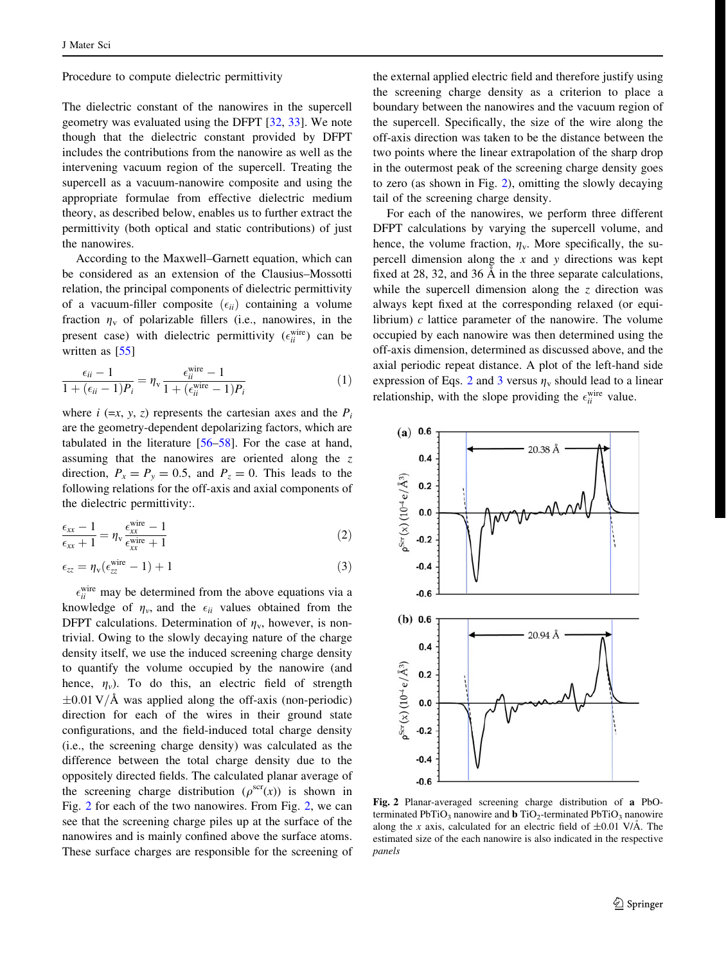<span id="page-2-0"></span>Procedure to compute dielectric permittivity

The dielectric constant of the nanowires in the supercell geometry was evaluated using the DFPT [\[32](#page-6-0), [33\]](#page-6-0). We note though that the dielectric constant provided by DFPT includes the contributions from the nanowire as well as the intervening vacuum region of the supercell. Treating the supercell as a vacuum-nanowire composite and using the appropriate formulae from effective dielectric medium theory, as described below, enables us to further extract the permittivity (both optical and static contributions) of just the nanowires.

According to the Maxwell–Garnett equation, which can be considered as an extension of the Clausius–Mossotti relation, the principal components of dielectric permittivity of a vacuum-filler composite  $(\epsilon_{ii})$  containing a volume fraction  $\eta_{\rm v}$  of polarizable fillers (i.e., nanowires, in the present case) with dielectric permittivity  $(\epsilon_{ii}^{\text{wire}})$  can be written as [[55\]](#page-6-0)

$$
\frac{\epsilon_{ii} - 1}{1 + (\epsilon_{ii} - 1)P_i} = \eta_v \frac{\epsilon_{ii}^{\text{wire}} - 1}{1 + (\epsilon_{ii}^{\text{wire}} - 1)P_i}
$$
(1)

where  $i$  (=x, y, z) represents the cartesian axes and the  $P_i$ are the geometry-dependent depolarizing factors, which are tabulated in the literature [[56–58](#page-6-0)]. For the case at hand, assuming that the nanowires are oriented along the z direction,  $P_x = P_y = 0.5$ , and  $P_z = 0$ . This leads to the following relations for the off-axis and axial components of the dielectric permittivity:.

$$
\frac{\epsilon_{xx} - 1}{\epsilon_{xx} + 1} = \eta_v \frac{\epsilon_{xx}^{wire} - 1}{\epsilon_{xx}^{wire} + 1}
$$
\n(2)

$$
\epsilon_{zz} = \eta_v(\epsilon_{zz}^{\text{wire}} - 1) + 1 \tag{3}
$$

 $\epsilon_{ii}^{\text{wire}}$  may be determined from the above equations via a knowledge of  $\eta_{\nu}$ , and the  $\epsilon_{ii}$  values obtained from the DFPT calculations. Determination of  $\eta_v$ , however, is nontrivial. Owing to the slowly decaying nature of the charge density itself, we use the induced screening charge density to quantify the volume occupied by the nanowire (and hence,  $\eta_v$ ). To do this, an electric field of strength  $\pm 0.01$  V/Å was applied along the off-axis (non-periodic) direction for each of the wires in their ground state configurations, and the field-induced total charge density (i.e., the screening charge density) was calculated as the difference between the total charge density due to the oppositely directed fields. The calculated planar average of the screening charge distribution ( $\rho^{scr}(x)$ ) is shown in Fig. 2 for each of the two nanowires. From Fig. 2, we can see that the screening charge piles up at the surface of the nanowires and is mainly confined above the surface atoms. These surface charges are responsible for the screening of

the external applied electric field and therefore justify using the screening charge density as a criterion to place a boundary between the nanowires and the vacuum region of the supercell. Specifically, the size of the wire along the off-axis direction was taken to be the distance between the two points where the linear extrapolation of the sharp drop in the outermost peak of the screening charge density goes to zero (as shown in Fig. 2), omitting the slowly decaying tail of the screening charge density.

For each of the nanowires, we perform three different DFPT calculations by varying the supercell volume, and hence, the volume fraction,  $\eta_v$ . More specifically, the supercell dimension along the  $x$  and  $y$  directions was kept fixed at 28, 32, and 36  $\AA$  in the three separate calculations, while the supercell dimension along the  $\zeta$  direction was always kept fixed at the corresponding relaxed (or equilibrium)  $c$  lattice parameter of the nanowire. The volume occupied by each nanowire was then determined using the off-axis dimension, determined as discussed above, and the axial periodic repeat distance. A plot of the left-hand side expression of Eqs. 2 and 3 versus  $\eta_{\rm v}$  should lead to a linear relationship, with the slope providing the  $\epsilon_{ii}^{\text{wire}}$  value.



Fig. 2 Planar-averaged screening charge distribution of a PbOterminated PbTiO<sub>3</sub> nanowire and **b** TiO<sub>2</sub>-terminated PbTiO<sub>3</sub> nanowire along the x axis, calculated for an electric field of  $\pm 0.01$  V/A. The estimated size of the each nanowire is also indicated in the respective panels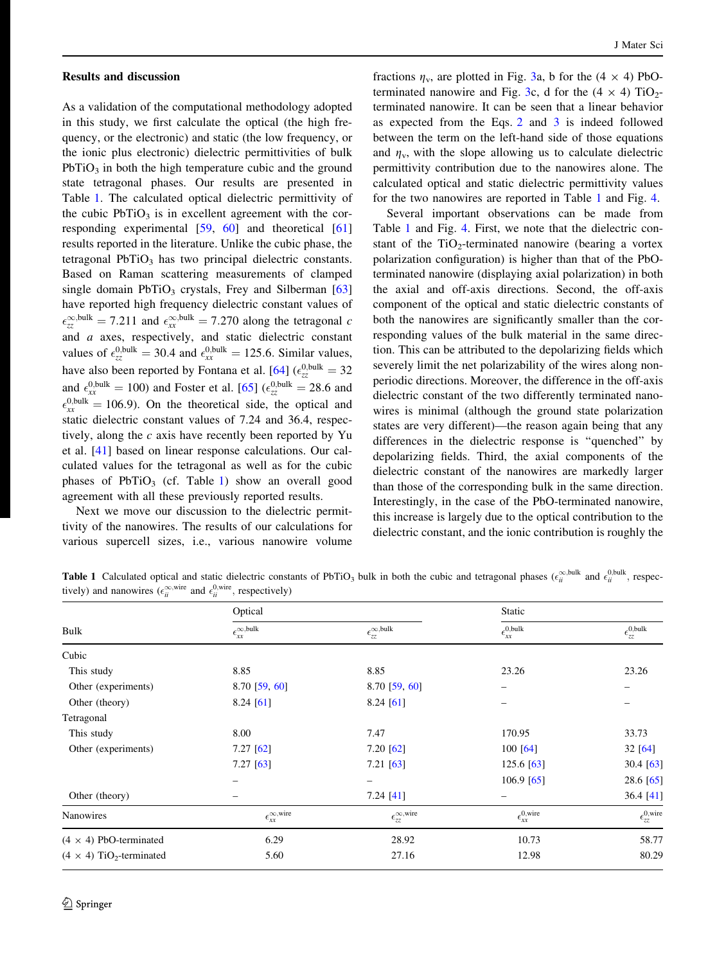#### <span id="page-3-0"></span>Results and discussion

As a validation of the computational methodology adopted in this study, we first calculate the optical (the high frequency, or the electronic) and static (the low frequency, or the ionic plus electronic) dielectric permittivities of bulk  $PbTiO<sub>3</sub>$  in both the high temperature cubic and the ground state tetragonal phases. Our results are presented in Table 1. The calculated optical dielectric permittivity of the cubic  $PbTiO<sub>3</sub>$  is in excellent agreement with the corresponding experimental [\[59](#page-6-0), [60\]](#page-6-0) and theoretical [[61\]](#page-6-0) results reported in the literature. Unlike the cubic phase, the tetragonal  $PbTiO<sub>3</sub>$  has two principal dielectric constants. Based on Raman scattering measurements of clamped single domain  $PbTiO<sub>3</sub>$  crystals, Frey and Silberman [[63\]](#page-6-0) have reported high frequency dielectric constant values of  $\epsilon_{zz}^{\infty, bulk} = 7.211$  and  $\epsilon_{xx}^{\infty, bulk} = 7.270$  along the tetragonal c and a axes, respectively, and static dielectric constant values of  $\epsilon_{zz}^{0, bulk} = 30.4$  and  $\epsilon_{xx}^{0, bulk} = 125.6$ . Similar values, have also been reported by Fontana et al. [\[64](#page-6-0)]  $(\epsilon_{zz}^{0,bulk} = 32)$ and  $\epsilon_{xx}^{0,\text{bulk}} = 100$ ) and Foster et al. [\[65](#page-6-0)]  $(\epsilon_{zz}^{0,\text{bulk}} = 28.6$  and  $\epsilon_{xx}^{0, \text{bulk}} = 106.9$ ). On the theoretical side, the optical and static dielectric constant values of 7.24 and 36.4, respectively, along the c axis have recently been reported by Yu et al. [\[41](#page-6-0)] based on linear response calculations. Our calculated values for the tetragonal as well as for the cubic phases of  $PbTiO<sub>3</sub>$  (cf. Table 1) show an overall good agreement with all these previously reported results.

Next we move our discussion to the dielectric permittivity of the nanowires. The results of our calculations for various supercell sizes, i.e., various nanowire volume

fractions  $\eta_v$ , are plotted in Fig. [3](#page-4-0)a, b for the (4  $\times$  4) PbO-terminated nanowire and Fig. [3c](#page-4-0), d for the  $(4 \times 4)$  TiO<sub>2</sub>terminated nanowire. It can be seen that a linear behavior as expected from the Eqs. [2](#page-2-0) and [3](#page-2-0) is indeed followed between the term on the left-hand side of those equations and  $\eta_v$ , with the slope allowing us to calculate dielectric permittivity contribution due to the nanowires alone. The calculated optical and static dielectric permittivity values for the two nanowires are reported in Table 1 and Fig. [4](#page-4-0).

Several important observations can be made from Table 1 and Fig. [4.](#page-4-0) First, we note that the dielectric constant of the  $TiO<sub>2</sub>$ -terminated nanowire (bearing a vortex polarization configuration) is higher than that of the PbOterminated nanowire (displaying axial polarization) in both the axial and off-axis directions. Second, the off-axis component of the optical and static dielectric constants of both the nanowires are significantly smaller than the corresponding values of the bulk material in the same direction. This can be attributed to the depolarizing fields which severely limit the net polarizability of the wires along nonperiodic directions. Moreover, the difference in the off-axis dielectric constant of the two differently terminated nanowires is minimal (although the ground state polarization states are very different)—the reason again being that any differences in the dielectric response is ''quenched'' by depolarizing fields. Third, the axial components of the dielectric constant of the nanowires are markedly larger than those of the corresponding bulk in the same direction. Interestingly, in the case of the PbO-terminated nanowire, this increase is largely due to the optical contribution to the dielectric constant, and the ionic contribution is roughly the

**Table 1** Calculated optical and static dielectric constants of PbTiO<sub>3</sub> bulk in both the cubic and tetragonal phases  $(\epsilon_{ii}^{\infty, bulk}$  and  $\epsilon_{ii}^{0, bulk}$ , respectively) and nanowires  $(\epsilon_{ii}^{\infty,\text{wire}}$  and  $\epsilon_{ii}^{0,\text{wire}}$ , respectively)

| <b>Bulk</b>                                 | Optical                                |                                        | Static                          |                                 |
|---------------------------------------------|----------------------------------------|----------------------------------------|---------------------------------|---------------------------------|
|                                             | $\epsilon_{xx}^{\infty,\text{bulk}}$   | $\epsilon_{\rm zz}^{\infty,\rm bulk}$  | $\epsilon_{xx}^{0, bulk}$       | $\epsilon_{zz}^{0, bulk}$       |
| Cubic                                       |                                        |                                        |                                 |                                 |
| This study                                  | 8.85                                   | 8.85                                   | 23.26                           | 23.26                           |
| Other (experiments)                         | $8.70$ [59, 60]                        | $8.70$ [59, 60]                        |                                 |                                 |
| Other (theory)                              | $8.24$ [61]                            | $8.24$ [61]                            |                                 |                                 |
| Tetragonal                                  |                                        |                                        |                                 |                                 |
| This study                                  | 8.00                                   | 7.47                                   | 170.95                          | 33.73                           |
| Other (experiments)                         | $7.27$ [62]                            | 7.20 [62]                              | 100 [64]                        | 32[64]                          |
|                                             | $7.27$ [63]                            | $7.21$ [63]                            | $125.6$ [63]                    | 30.4 [63]                       |
|                                             |                                        |                                        | $106.9$ [65]                    | 28.6 [65]                       |
| Other (theory)                              |                                        | 7.24 [41]                              |                                 | 36.4 [41]                       |
| Nanowires                                   | $\epsilon_{xx}^{\infty,\mathrm{wire}}$ | $\epsilon_{zz}^{\infty,\mathrm{wire}}$ | $\epsilon_{xx}^{0,\text{wire}}$ | $\epsilon_{zz}^{0,\text{wire}}$ |
| $(4 \times 4)$ PbO-terminated               | 6.29                                   | 28.92                                  | 10.73                           | 58.77                           |
| $(4 \times 4)$ TiO <sub>2</sub> -terminated | 5.60                                   | 27.16                                  | 12.98                           | 80.29                           |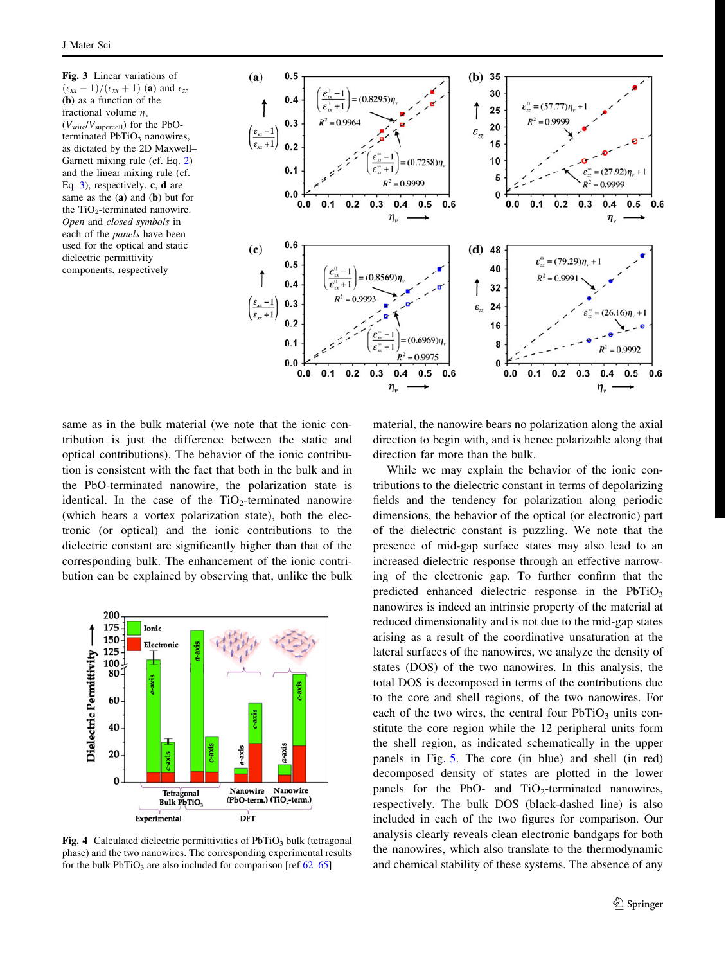<span id="page-4-0"></span>Fig. 3 Linear variations of  $(\epsilon_{xx} - 1)/(\epsilon_{xx} + 1)$  (a) and  $\epsilon_{zz}$ (b) as a function of the fractional volume  $\eta_{\rm v}$  $(V_{\text{wire}}/V_{\text{supercell}})$  for the PbOterminated  $PbTiO<sub>3</sub>$  nanowires, as dictated by the 2D Maxwell– Garnett mixing rule (cf. Eq. [2](#page-2-0)) and the linear mixing rule (cf. Eq. [3\)](#page-2-0), respectively. c, d are same as the (a) and (b) but for the  $TiO<sub>2</sub>$ -terminated nanowire. Open and closed symbols in each of the panels have been used for the optical and static dielectric permittivity components, respectively



same as in the bulk material (we note that the ionic contribution is just the difference between the static and optical contributions). The behavior of the ionic contribution is consistent with the fact that both in the bulk and in the PbO-terminated nanowire, the polarization state is identical. In the case of the  $TiO<sub>2</sub>$ -terminated nanowire (which bears a vortex polarization state), both the electronic (or optical) and the ionic contributions to the dielectric constant are significantly higher than that of the corresponding bulk. The enhancement of the ionic contribution can be explained by observing that, unlike the bulk



Fig. 4 Calculated dielectric permittivities of  $PbTiO<sub>3</sub>$  bulk (tetragonal phase) and the two nanowires. The corresponding experimental results for the bulk  $PbTiO<sub>3</sub>$  are also included for comparison [ref [62–65\]](#page-6-0)

material, the nanowire bears no polarization along the axial direction to begin with, and is hence polarizable along that direction far more than the bulk.

While we may explain the behavior of the ionic contributions to the dielectric constant in terms of depolarizing fields and the tendency for polarization along periodic dimensions, the behavior of the optical (or electronic) part of the dielectric constant is puzzling. We note that the presence of mid-gap surface states may also lead to an increased dielectric response through an effective narrowing of the electronic gap. To further confirm that the predicted enhanced dielectric response in the  $PbTiO<sub>3</sub>$ nanowires is indeed an intrinsic property of the material at reduced dimensionality and is not due to the mid-gap states arising as a result of the coordinative unsaturation at the lateral surfaces of the nanowires, we analyze the density of states (DOS) of the two nanowires. In this analysis, the total DOS is decomposed in terms of the contributions due to the core and shell regions, of the two nanowires. For each of the two wires, the central four  $PbTiO<sub>3</sub>$  units constitute the core region while the 12 peripheral units form the shell region, as indicated schematically in the upper panels in Fig. [5](#page-5-0). The core (in blue) and shell (in red) decomposed density of states are plotted in the lower panels for the PbO- and  $TiO<sub>2</sub>$ -terminated nanowires, respectively. The bulk DOS (black-dashed line) is also included in each of the two figures for comparison. Our analysis clearly reveals clean electronic bandgaps for both the nanowires, which also translate to the thermodynamic and chemical stability of these systems. The absence of any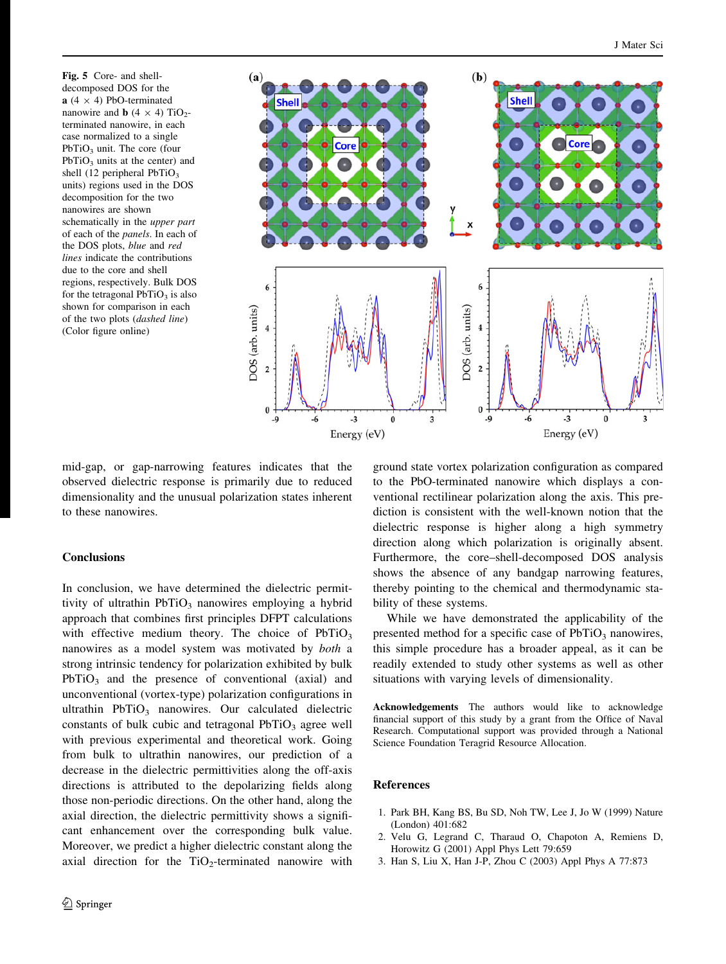<span id="page-5-0"></span>Fig. 5 Core- and shelldecomposed DOS for the  $a$  (4  $\times$  4) PbO-terminated nanowire and **b**  $(4 \times 4)$  TiO<sub>2</sub>terminated nanowire, in each case normalized to a single  $PbTiO<sub>3</sub>$  unit. The core (four  $PbTiO<sub>3</sub>$  units at the center) and shell (12 peripheral  $PbTiO<sub>3</sub>$ units) regions used in the DOS decomposition for the two nanowires are shown schematically in the upper part of each of the panels. In each of the DOS plots, blue and red lines indicate the contributions due to the core and shell regions, respectively. Bulk DOS for the tetragonal  $PbTiO<sub>3</sub>$  is also shown for comparison in each of the two plots (dashed line) (Color figure online)



mid-gap, or gap-narrowing features indicates that the observed dielectric response is primarily due to reduced dimensionality and the unusual polarization states inherent to these nanowires.

#### **Conclusions**

In conclusion, we have determined the dielectric permittivity of ultrathin  $PbTiO<sub>3</sub>$  nanowires employing a hybrid approach that combines first principles DFPT calculations with effective medium theory. The choice of  $PbTiO<sub>3</sub>$ nanowires as a model system was motivated by both a strong intrinsic tendency for polarization exhibited by bulk  $PbTiO<sub>3</sub>$  and the presence of conventional (axial) and unconventional (vortex-type) polarization configurations in ultrathin  $PbTiO<sub>3</sub>$  nanowires. Our calculated dielectric constants of bulk cubic and tetragonal  $PbTiO<sub>3</sub>$  agree well with previous experimental and theoretical work. Going from bulk to ultrathin nanowires, our prediction of a decrease in the dielectric permittivities along the off-axis directions is attributed to the depolarizing fields along those non-periodic directions. On the other hand, along the axial direction, the dielectric permittivity shows a significant enhancement over the corresponding bulk value. Moreover, we predict a higher dielectric constant along the axial direction for the  $TiO<sub>2</sub>$ -terminated nanowire with

ground state vortex polarization configuration as compared to the PbO-terminated nanowire which displays a conventional rectilinear polarization along the axis. This prediction is consistent with the well-known notion that the dielectric response is higher along a high symmetry direction along which polarization is originally absent. Furthermore, the core–shell-decomposed DOS analysis shows the absence of any bandgap narrowing features, thereby pointing to the chemical and thermodynamic stability of these systems.

While we have demonstrated the applicability of the presented method for a specific case of  $PbTiO<sub>3</sub>$  nanowires, this simple procedure has a broader appeal, as it can be readily extended to study other systems as well as other situations with varying levels of dimensionality.

Acknowledgements The authors would like to acknowledge financial support of this study by a grant from the Office of Naval Research. Computational support was provided through a National Science Foundation Teragrid Resource Allocation.

### References

- 1. Park BH, Kang BS, Bu SD, Noh TW, Lee J, Jo W (1999) Nature (London) 401:682
- 2. Velu G, Legrand C, Tharaud O, Chapoton A, Remiens D, Horowitz G (2001) Appl Phys Lett 79:659
- 3. Han S, Liu X, Han J-P, Zhou C (2003) Appl Phys A 77:873